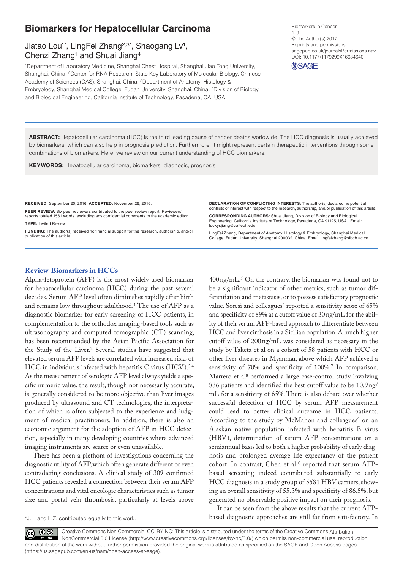# **Biomarkers for Hepatocellular Carcinoma**

# Jiatao Lou<sup>1\*</sup>, LingFei Zhang<sup>2,3\*</sup>, Shaogang Lv<sup>1</sup>, Chenzi Zhang<sup>1</sup> and Shuai Jiang<sup>4</sup>

1Department of Laboratory Medicine, Shanghai Chest Hospital, Shanghai Jiao Tong University, Shanghai, China. 2Center for RNA Research, State Key Laboratory of Molecular Biology, Chinese Academy of Sciences (CAS), Shanghai, China. 3Department of Anatomy, Histology & Embryology, Shanghai Medical College, Fudan University, Shanghai, China. 4Division of Biology and Biological Engineering, California Institute of Technology, Pasadena, CA, USA.

Biomarkers in Cancer 1–9 © The Author(s) 2017 Reprints and permissions: [sagepub.co.uk/journalsPermissions.nav](https://uk.sagepub.com/en-gb/journals-permissions) DOI: 10.1177/1179299X16684640 **SSAGE** 

**Abstract:** Hepatocellular carcinoma (HCC) is the third leading cause of cancer deaths worldwide. The HCC diagnosis is usually achieved by biomarkers, which can also help in prognosis prediction. Furthermore, it might represent certain therapeutic interventions through some combinations of biomarkers. Here, we review on our current understanding of HCC biomarkers.

**Keywords:** Hepatocellular carcinoma, biomarkers, diagnosis, prognosis

**RECEIVED:** September 20, 2016. **ACCEPTED:** November 26, 2016.

PEER REVIEW: Six peer reviewers contributed to the peer review report. Reviewers reports totaled 1561 words, excluding any confidential comments to the academic editor. **TYPE:** Invited Review

FUNDING: The author(s) received no financial support for the research, authorship, and/or publication of this article.

**Declaration of conflicting interests:** The author(s) declared no potential conflicts of interest with respect to the research, authorship, and/or publication of this article.

**Corresponding authors:** Shuai Jiang, Division of Biology and Biological Engineering, California Institute of Technology, Pasadena, CA 91125, USA. Email: [luckysjiang@caltech.edu](mailto:luckysjiang@caltech.edu)

LingFei Zhang, Department of Anatomy, Histology & Embryology, Shanghai Medical College, Fudan University, Shanghai 200032, China. Email: [lingfeizhang@sibcb.ac.cn](mailto:lingfeizhang@sibcb.ac.cn)

## **Review-Biomarkers in HCCs**

Alpha-fetoprotein (AFP) is the most widely used biomarker for hepatocellular carcinoma (HCC) during the past several decades. Serum AFP level often diminishes rapidly after birth and remains low throughout adulthood.1 The use of AFP as a diagnostic biomarker for early screening of HCC patients, in complementation to the orthodox imaging-based tools such as ultrasonography and computed tomographic (CT) scanning, has been recommended by the Asian Pacific Association for the Study of the Liver.<sup>2</sup> Several studies have suggested that elevated serum AFP levels are correlated with increased risks of HCC in individuals infected with hepatitis C virus (HCV).<sup>3,4</sup> As the measurement of serologic AFP level always yields a specific numeric value, the result, though not necessarily accurate, is generally considered to be more objective than liver images produced by ultrasound and CT technologies, the interpretation of which is often subjected to the experience and judgment of medical practitioners. In addition, there is also an economic argument for the adoption of AFP in HCC detection, especially in many developing countries where advanced imaging instruments are scarce or even unavailable.

There has been a plethora of investigations concerning the diagnostic utility of AFP, which often generate different or even contradicting conclusions. A clinical study of 309 confirmed HCC patients revealed a connection between their serum AFP concentrations and vital oncologic characteristics such as tumor size and portal vein thrombosis, particularly at levels above

\*J.L. and L.Z. contributed equally to this work.

400ng/mL.5 On the contrary, the biomarker was found not to be a significant indicator of other metrics, such as tumor differentiation and metastasis, or to possess satisfactory prognostic value. Soresi and colleagues<sup>6</sup> reported a sensitivity score of 65% and specificity of 89% at a cutoff value of 30ng/mL for the ability of their serum AFP-based approach to differentiate between HCC and liver cirrhosis in a Sicilian population. A much higher cutoff value of 200ng/mL was considered as necessary in the study by Taketa et al on a cohort of 58 patients with HCC or other liver diseases in Myanmar, above which AFP achieved a sensitivity of 70% and specificity of 100%.<sup>7</sup> In comparison, Marrero et al<sup>8</sup> performed a large case-control study involving 836 patients and identified the best cutoff value to be 10.9ng/ mL for a sensitivity of 65%. There is also debate over whether successful detection of HCC by serum AFP measurement could lead to better clinical outcome in HCC patients. According to the study by McMahon and colleagues<sup>9</sup> on an Alaskan native population infected with hepatitis B virus (HBV), determination of serum AFP concentrations on a semiannual basis led to both a higher probability of early diagnosis and prolonged average life expectancy of the patient cohort. In contrast, Chen et al<sup>10</sup> reported that serum AFPbased screening indeed contributed substantially to early HCC diagnosis in a study group of 5581 HBV carriers, showing an overall sensitivity of 55.3% and specificity of 86.5%, but generated no observable positive impact on their prognosis.

It can be seen from the above results that the current AFPbased diagnostic approaches are still far from satisfactory. In

Creative Commons Non Commercial CC-BY-NC: This article is distributed under the terms of the Creative Commons Attribution- $0$  $_{\rm (cc)}$ NonCommercial 3.0 License (http://www.creativecommons.org/licenses/by-nc/3.0/) which permits non-commercial use, reproduction and distribution of the work without further permission provided the original work is attributed as specified on the SAGE and Open Access pages (https://us.sagepub.com/en-us/nam/open-access-at-sage).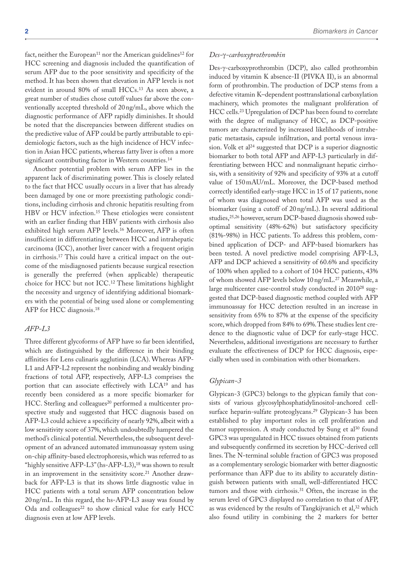fact, neither the European<sup>11</sup> nor the American guidelines<sup>12</sup> for HCC screening and diagnosis included the quantification of serum AFP due to the poor sensitivity and specificity of the method. It has been shown that elevation in AFP levels is not evident in around 80% of small HCCs.13 As seen above, a great number of studies chose cutoff values far above the conventionally accepted threshold of 20ng/mL, above which the diagnostic performance of AFP rapidly diminishes. It should be noted that the discrepancies between different studies on the predictive value of AFP could be partly attributable to epidemiologic factors, such as the high incidence of HCV infection in Asian HCC patients, whereas fatty liver is often a more significant contributing factor in Western countries.<sup>14</sup>

Another potential problem with serum AFP lies in the apparent lack of discriminating power. This is closely related to the fact that HCC usually occurs in a liver that has already been damaged by one or more preexisting pathologic conditions, including cirrhosis and chronic hepatitis resulting from HBV or HCV infection.15 These etiologies were consistent with an earlier finding that HBV patients with cirrhosis also exhibited high serum AFP levels.16 Moreover, AFP is often insufficient in differentiating between HCC and intrahepatic carcinoma (ICC), another liver cancer with a frequent origin in cirrhosis.17 This could have a critical impact on the outcome of the misdiagnosed patients because surgical resection is generally the preferred (when applicable) therapeutic choice for HCC but not ICC.12 These limitations highlight the necessity and urgency of identifying additional biomarkers with the potential of being used alone or complementing AFP for HCC diagnosis.18

## *AFP-L3*

Three different glycoforms of AFP have so far been identified, which are distinguished by the difference in their binding affinities for Lens culinaris agglutinin (LCA). Whereas AFP-L1 and AFP-L2 represent the nonbinding and weakly binding fractions of total AFP, respectively, AFP-L3 comprises the portion that can associate effectively with LCA19 and has recently been considered as a more specific biomarker for HCC. Sterling and colleagues<sup>20</sup> performed a multicenter prospective study and suggested that HCC diagnosis based on AFP-L3 could achieve a specificity of nearly 92%, albeit with a low sensitivity score of 37%, which undoubtedly hampered the method's clinical potential. Nevertheless, the subsequent development of an advanced automated immunoassay system using on-chip affinity-based electrophoresis, which was referred to as "highly sensitive AFP-L3" (hs-AFP-L3),<sup>18</sup> was shown to result in an improvement in the sensitivity score.<sup>21</sup> Another drawback for AFP-L3 is that its shows little diagnostic value in HCC patients with a total serum AFP concentration below 20ng/mL. In this regard, the hs-AFP-L3 assay was found by Oda and colleagues<sup>22</sup> to show clinical value for early HCC diagnosis even at low AFP levels.

### *Des-*γ*-carboxyprothrombin*

Des-γ-carboxyprothrombin (DCP), also called prothrombin induced by vitamin K absence-II (PIVKA II), is an abnormal form of prothrombin. The production of DCP stems from a defective vitamin K–dependent posttranslational carboxylation machinery, which promotes the malignant proliferation of HCC cells.23 Upregulation of DCP has been found to correlate with the degree of malignancy of HCC, as DCP-positive tumors are characterized by increased likelihoods of intrahepatic metastasis, capsule infiltration, and portal venous invasion. Volk et al<sup>24</sup> suggested that DCP is a superior diagnostic biomarker to both total AFP and AFP-L3 particularly in differentiating between HCC and nonmalignant hepatic cirrhosis, with a sensitivity of 92% and specificity of 93% at a cutoff value of 150mAU/mL. Moreover, the DCP-based method correctly identified early-stage HCC in 15 of 17 patients, none of whom was diagnosed when total AFP was used as the biomarker (using a cutoff of 20ng/mL). In several additional studies,<sup>25,26</sup> however, serum DCP-based diagnosis showed suboptimal sensitivity (48%-62%) but satisfactory specificity (81%-98%) in HCC patients. To address this problem, combined application of DCP- and AFP-based biomarkers has been tested. A novel predictive model comprising AFP-L3, AFP and DCP achieved a sensitivity of 60.6% and specificity of 100% when applied to a cohort of 104 HCC patients, 43% of whom showed AFP levels below 10ng/mL.27 Meanwhile, a large multicenter case-control study conducted in 201028 suggested that DCP-based diagnostic method coupled with AFP immunoassay for HCC detection resulted in an increase in sensitivity from 65% to 87% at the expense of the specificity score, which dropped from 84% to 69%. These studies lent credence to the diagnostic value of DCP for early-stage HCC. Nevertheless, additional investigations are necessary to further evaluate the effectiveness of DCP for HCC diagnosis, especially when used in combination with other biomarkers.

### *Glypican-3*

Glypican-3 (GPC3) belongs to the glypican family that consists of various glycosylphosphatidylinositol-anchored cellsurface heparin-sulfate proteoglycans.<sup>29</sup> Glypican-3 has been established to play important roles in cell proliferation and tumor suppression. A study conducted by Sung et  $al^{30}$  found GPC3 was upregulated in HCC tissues obtained from patients and subsequently confirmed its secretion by HCC-derived cell lines. The N-terminal soluble fraction of GPC3 was proposed as a complementary serologic biomarker with better diagnostic performance than AFP due to its ability to accurately distinguish between patients with small, well-differentiated HCC tumors and those with cirrhosis.<sup>31</sup> Often, the increase in the serum level of GPC3 displayed no correlation to that of AFP, as was evidenced by the results of Tangkijvanich et al,32 which also found utility in combining the 2 markers for better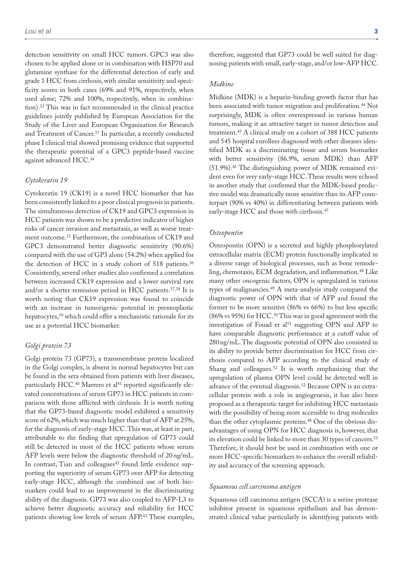detection sensitivity on small HCC tumors. GPC3 was also chosen to be applied alone or in combination with HSP70 and glutamine synthase for the differential detection of early and grade 1 HCC from cirrhosis, with similar sensitivity and specificity scores in both cases (69% and 91%, respectively, when used alone; 72% and 100%, respectively, when in combination).33 This was in fact recommended in the clinical practice guidelines jointly published by European Association for the Study of the Liver and European Organization for Research and Treatment of Cancer.<sup>11</sup> In particular, a recently conducted phase I clinical trial showed promising evidence that supported the therapeutic potential of a GPC3 peptide-based vaccine against advanced HCC.34

#### *Cytokeratin 19*

Cytokeratin 19 (CK19) is a novel HCC biomarker that has been consistently linked to a poor clinical prognosis in patients. The simultaneous detection of CK19 and GPC3 expression in HCC patients was shown to be a predictive indicator of higher risks of cancer invasion and metastasis, as well as worse treatment outcome.35 Furthermore, the combination of CK19 and GPC3 demonstrated better diagnostic sensitivity (90.6%) compared with the use of GP3 alone (54.2%) when applied for the detection of HCC in a study cohort of 518 patients.<sup>36</sup> Consistently, several other studies also confirmed a correlation between increased CK19 expression and a lower survival rate and/or a shorter remission period in HCC patients.37,38 It is worth noting that CK19 expression was found to coincide with an increase in tumorigenic potential in preneoplastic hepatocytes,39 which could offer a mechanistic rationale for its use as a potential HCC biomarker.

#### *Golgi protein 73*

Golgi protein 73 (GP73), a transmembrane protein localized in the Golgi complex, is absent in normal hepatocytes but can be found in the sera obtained from patients with liver diseases, particularly HCC.<sup>40</sup> Marrero et al<sup>41</sup> reported significantly elevated concentrations of serum GP73 in HCC patients in comparison with those afflicted with cirrhosis. It is worth noting that the GP73-based diagnostic model exhibited a sensitivity score of 62%, which was much higher than that of AFP at 25%, for the diagnosis of early-stage HCC. This was, at least in part, attributable to the finding that upregulation of GP73 could still be detected in most of the HCC patients whose serum AFP levels were below the diagnostic threshold of 20ng/mL. In contrast, Tian and colleagues<sup>42</sup> found little evidence supporting the superiority of serum GP73 over AFP for detecting early-stage HCC, although the combined use of both biomarkers could lead to an improvement in the discriminating ability of the diagnosis. GP73 was also coupled to AFP-L3 to achieve better diagnostic accuracy and reliability for HCC patients showing low levels of serum AFP.43 These examples, therefore, suggested that GP73 could be well suited for diagnosing patients with small, early-stage, and/or low-AFP HCC.

#### *Midkine*

Midkine (MDK) is a heparin-binding growth factor that has been associated with tumor migration and proliferation.<sup>44</sup> Not surprisingly, MDK is often overexpressed in various human tumors, making it an attractive target in tumor detection and treatment.45 A clinical study on a cohort of 388 HCC patients and 545 hospital enrollees diagnosed with other diseases identified MDK as a discriminating tissue and serum biomarker with better sensitivity (86.9%, serum MDK) than AFP (51.9%).46 The distinguishing power of MDK remained evident even for very early-stage HCC. These results were echoed in another study that confirmed that the MDK-based predictive model was dramatically more sensitive than its AFP counterpart (90% vs 40%) in differentiating between patients with early-stage HCC and those with cirrhosis.47

#### *Osteopontin*

Osteopontin (OPN) is a secreted and highly phosphorylated extracellular matrix (ECM) protein functionally implicated in a diverse range of biological processes, such as bone remodeling, chemotaxis, ECM degradation, and inflammation.48 Like many other oncogenic factors, OPN is upregulated in various types of malignancies.49 A meta-analysis study compared the diagnostic power of OPN with that of AFP and found the former to be more sensitive (86% vs 66%) to but less specific (86% vs 95%) for HCC.50 This was in good agreement with the investigation of Fouad et al<sup>51</sup> suggesting OPN and AFP to have comparable diagnostic performance at a cutoff value of 280ng/mL. The diagnostic potential of OPN also consisted in its ability to provide better discrimination for HCC from cirrhosis compared to AFP according to the clinical study of Shang and colleagues.<sup>52</sup> It is worth emphasizing that the upregulation of plasma OPN level could be detected well in advance of the eventual diagnosis.<sup>52</sup> Because OPN is an extracellular protein with a role in angiogenesis, it has also been proposed as a therapeutic target for inhibiting HCC metastasis with the possibility of being more accessible to drug molecules than the other cytoplasmic proteins.<sup>48</sup> One of the obvious disadvantages of using OPN for HCC diagnosis is, however, that its elevation could be linked to more than 30 types of cancers.<sup>53</sup> Therefore, it should best be used in combination with one or more HCC-specific biomarkers to enhance the overall reliability and accuracy of the screening approach.

#### *Squamous cell carcinoma antigen*

Squamous cell carcinoma antigen (SCCA) is a serine protease inhibitor present in squamous epithelium and has demonstrated clinical value particularly in identifying patients with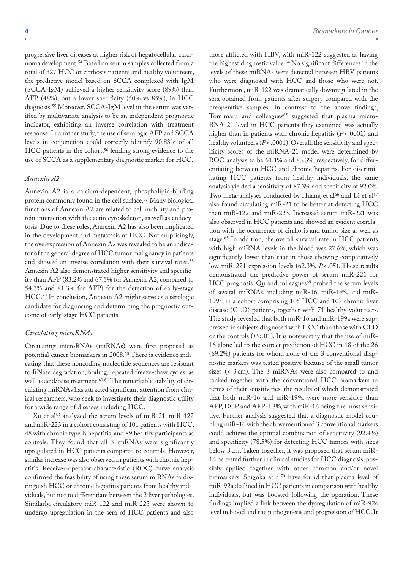progressive liver diseases at higher risk of hepatocellular carcinoma development.54 Based on serum samples collected from a total of 327 HCC or cirrhosis patients and healthy volunteers, the predictive model based on SCCA complexed with IgM (SCCA-IgM) achieved a higher sensitivity score (89%) than AFP (48%), but a lower specificity (50% vs 85%), in HCC diagnosis.55 Moreover, SCCA-IgM level in the serum was verified by multivariate analysis to be an independent prognostic indicator, exhibiting an inverse correlation with treatment response. In another study, the use of serologic AFP and SCCA levels in conjunction could correctly identify 90.83% of all HCC patients in the cohort,<sup>56</sup> lending strong evidence to the use of SCCA as a supplementary diagnostic marker for HCC.

#### *Annexin A2*

Annexin A2 is a calcium-dependent, phospholipid-binding protein commonly found in the cell surface.57 Many biological functions of Annexin A2 are related to cell mobility and protein interaction with the actin cytoskeleton, as well as endocytosis. Due to these roles, Annexin A2 has also been implicated in the development and metastasis of HCC. Not surprisingly, the overexpression of Annexin A2 was revealed to be an indicator of the general degree of HCC tumor malignancy in patients and showed an inverse correlation with their survival rates.<sup>58</sup> Annexin A2 also demonstrated higher sensitivity and specificity than AFP (83.2% and 67.5% for Annexin A2, compared to 54.7% and 81.3% for AFP) for the detection of early-stage HCC.59 In conclusion, Annexin A2 might serve as a serologic candidate for diagnosing and determining the prognostic outcome of early-stage HCC patients.

#### *Circulating microRNAs*

Circulating microRNAs (miRNAs) were first proposed as potential cancer biomarkers in 2008.<sup>60</sup> There is evidence indicating that these noncoding nucleotide sequences are resistant to RNase degradation, boiling, repeated freeze-thaw cycles, as well as acid/base treatment.<sup>61,62</sup> The remarkable stability of circulating miRNAs has attracted significant attention from clinical researchers, who seek to investigate their diagnostic utility for a wide range of diseases including HCC.

Xu et al63 analyzed the serum levels of miR-21, miR-122 and miR-223 in a cohort consisting of 101 patients with HCC, 48 with chronic type B hepatitis, and 89 healthy participants as controls. They found that all 3 miRNAs were significantly upregulated in HCC patients compared to controls. However, similar increase was also observed in patients with chronic hepatitis. Receiver-operator characteristic (ROC) curve analysis confirmed the feasibility of using these serum miRNAs to distinguish HCC or chronic hepatitis patients from healthy individuals, but not to differentiate between the 2 liver pathologies. Similarly, circulatory miR-122 and miR-223 were shown to undergo upregulation in the sera of HCC patients and also

those afflicted with HBV, with miR-122 suggested as having the highest diagnostic value.<sup>64</sup> No significant differences in the levels of these miRNAs were detected between HBV patients who were diagnosed with HCC and those who were not. Furthermore, miR-122 was dramatically downregulated in the sera obtained from patients after surgery compared with the preoperative samples. In contrast to the above findings, Tomimaru and colleagues<sup>65</sup> suggested that plasma micro-RNA-21 level in HCC patients they examined was actually higher than in patients with chronic hepatitis (*P*< .0001) and healthy volunteers (*P*< .0001). Overall, the sensitivity and specificity scores of the miRNA-21 model were determined by ROC analysis to be 61.1% and 83.3%, respectively, for differentiating between HCC and chronic hepatitis. For discriminating HCC patients from healthy individuals, the same analysis yielded a sensitivity of 87.3% and specificity of 92.0%. Two meta-analyses conducted by Huang et al<sup>66</sup> and Li et al<sup>67</sup> also found circulating miR-21 to be better at detecting HCC than miR-122 and miR-223. Increased serum miR-221 was also observed in HCC patients and showed an evident correlation with the occurrence of cirrhosis and tumor size as well as stage.68 In addition, the overall survival rate in HCC patients with high miRNA levels in the blood was 27.6%, which was significantly lower than that in those showing comparatively low miR-221 expression levels (62.3%, *P*< .05). These results demonstrated the predictive power of serum miR-221 for HCC prognosis. Qu and colleagues<sup>69</sup> probed the serum levels of several miRNAs, including miR-16, miR-195, and miR-199a, in a cohort comprising 105 HCC and 107 chronic liver disease (CLD) patients, together with 71 healthy volunteers. The study revealed that both miR-16 and miR-199a were suppressed in subjects diagnosed with HCC than those with CLD or the controls (*P*<.01). It is noteworthy that the use of miR-16 alone led to the correct prediction of HCC in 18 of the 26 (69.2%) patients for whom none of the 3 conventional diagnostic markers was tested positive because of the small tumor sizes (< 3 cm). The 3 miRNAs were also compared to and ranked together with the conventional HCC biomarkers in terms of their sensitivities, the results of which demonstrated that both miR-16 and miR-199a were more sensitive than AFP, DCP and AFP-L3%, with miR-16 being the most sensitive. Further analysis suggested that a diagnostic model coupling miR-16 with the abovementioned 3 conventional markers could achieve the optimal combination of sensitivity (92.4%) and specificity (78.5%) for detecting HCC tumors with sizes below 3 cm. Taken together, it was proposed that serum miR-16 be tested further in clinical studies for HCC diagnosis, possibly applied together with other common and/or novel biomarkers. Shigoka et al<sup>70</sup> have found that plasma level of miR-92a declined in HCC patients in comparison with healthy individuals, but was boosted following the operation. These findings implied a link between the dysregulation of miR-92a level in blood and the pathogenesis and progression of HCC. It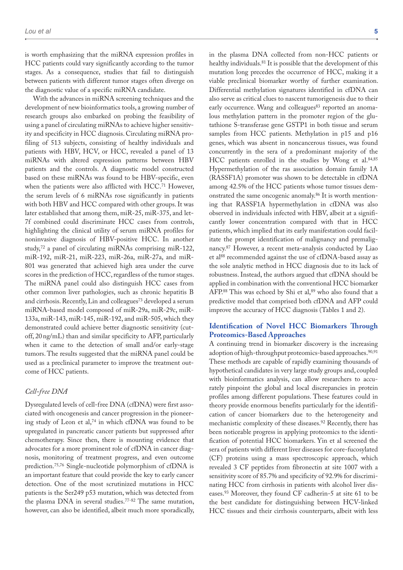is worth emphasizing that the miRNA expression profiles in HCC patients could vary significantly according to the tumor stages. As a consequence, studies that fail to distinguish between patients with different tumor stages often diverge on the diagnostic value of a specific miRNA candidate.

With the advances in miRNA screening techniques and the development of new bioinformatics tools, a growing number of research groups also embarked on probing the feasibility of using a panel of circulating miRNAs to achieve higher sensitivity and specificity in HCC diagnosis. Circulating miRNA profiling of 513 subjects, consisting of healthy individuals and patients with HBV, HCV, or HCC, revealed a panel of 13 miRNAs with altered expression patterns between HBV patients and the controls. A diagnostic model constructed based on these miRNAs was found to be HBV-specific, even when the patients were also afflicted with HCC.<sup>71</sup> However, the serum levels of 6 miRNAs rose significantly in patients with both HBV and HCC compared with other groups. It was later established that among them, miR-25, miR-375, and let-7f combined could discriminate HCC cases from controls, highlighting the clinical utility of serum miRNA profiles for noninvasive diagnosis of HBV-positive HCC. In another study,72 a panel of circulating miRNAs comprising miR-122, miR-192, miR-21, miR-223, miR-26a, miR-27a, and miR-801 was generated that achieved high area under the curve scores in the prediction of HCC, regardless of the tumor stages. The miRNA panel could also distinguish HCC cases from other common liver pathologies, such as chronic hepatitis B and cirrhosis. Recently, Lin and colleagues<sup>73</sup> developed a serum miRNA-based model composed of miR-29a, miR-29c, miR-133a, miR-143, miR-145, miR-192, and miR-505, which they demonstrated could achieve better diagnostic sensitivity (cutoff, 20ng/mL) than and similar specificity to AFP, particularly when it came to the detection of small and/or early-stage tumors. The results suggested that the miRNA panel could be used as a preclinical parameter to improve the treatment outcome of HCC patients.

## *Cell-free DNA*

Dysregulated levels of cell-free DNA (cfDNA) were first associated with oncogenesis and cancer progression in the pioneering study of Leon et al,74 in which cfDNA was found to be upregulated in pancreatic cancer patients but suppressed after chemotherapy. Since then, there is mounting evidence that advocates for a more prominent role of cfDNA in cancer diagnosis, monitoring of treatment progress, and even outcome prediction.75,76 Single-nucleotide polymorphism of cfDNA is an important feature that could provide the key to early cancer detection. One of the most scrutinized mutations in HCC patients is the Ser249 p53 mutation, which was detected from the plasma DNA in several studies.77-82 The same mutation, however, can also be identified, albeit much more sporadically,

in the plasma DNA collected from non-HCC patients or healthy individuals.81 It is possible that the development of this mutation long precedes the occurrence of HCC, making it a viable preclinical biomarker worthy of further examination. Differential methylation signatures identified in cfDNA can also serve as critical clues to nascent tumorigenesis due to their early occurrence. Wang and colleagues<sup>83</sup> reported an anomalous methylation pattern in the promoter region of the glutathione S-transferase gene GSTP1 in both tissue and serum samples from HCC patients. Methylation in p15 and p16 genes, which was absent in noncancerous tissues, was found concurrently in the sera of a predominant majority of the HCC patients enrolled in the studies by Wong et al.<sup>84,85</sup> Hypermethylation of the ras association domain family 1A (RASSF1A) promoter was shown to be detectable in cfDNA among 42.5% of the HCC patients whose tumor tissues demonstrated the same oncogenic anomaly.<sup>86</sup> It is worth mentioning that RASSF1A hypermethylation in cfDNA was also observed in individuals infected with HBV, albeit at a significantly lower concentration compared with that in HCC patients, which implied that its early manifestation could facilitate the prompt identification of malignancy and premalignancy.87 However, a recent meta-analysis conducted by Liao et al<sup>88</sup> recommended against the use of cfDNA-based assay as the sole analytic method in HCC diagnosis due to its lack of robustness. Instead, the authors argued that cfDNA should be applied in combination with the conventional HCC biomarker AFP.88 This was echoed by Shi et al, 89 who also found that a predictive model that comprised both cfDNA and AFP could improve the accuracy of HCC diagnosis (Tables 1 and 2).

## **Identification of Novel HCC Biomarkers Through Proteomics-Based Approaches**

A continuing trend in biomarker discovery is the increasing adoption of high-throughput proteomics-based approaches.<sup>90,91</sup> These methods are capable of rapidly examining thousands of hypothetical candidates in very large study groups and, coupled with bioinformatics analysis, can allow researchers to accurately pinpoint the global and local discrepancies in protein profiles among different populations. These features could in theory provide enormous benefits particularly for the identification of cancer biomarkers due to the heterogeneity and mechanistic complexity of these diseases.92 Recently, there has been noticeable progress in applying proteomics to the identification of potential HCC biomarkers. Yin et al screened the sera of patients with different liver diseases for core-fucosylated (CF) proteins using a mass spectroscopic approach, which revealed 3 CF peptides from fibronectin at site 1007 with a sensitivity score of 85.7% and specificity of 92.9% for discriminating HCC from cirrhosis in patients with alcohol liver diseases.93 Moreover, they found CF cadherin-5 at site 61 to be the best candidate for distinguishing between HCV-linked HCC tissues and their cirrhosis counterparts, albeit with less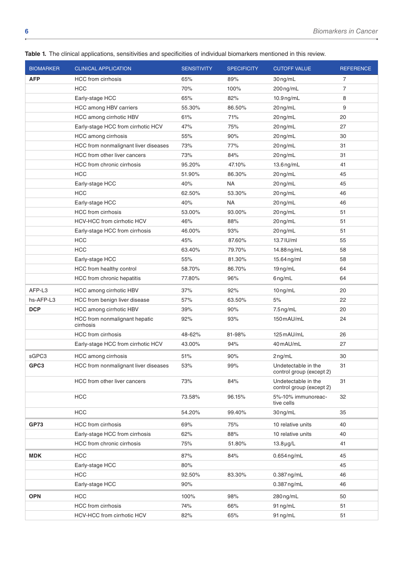| <b>BIOMARKER</b> | <b>CLINICAL APPLICATION</b>                | <b>SENSITIVITY</b> | <b>SPECIFICITY</b> | <b>CUTOFF VALUE</b>                             | <b>REFERENCE</b> |
|------------------|--------------------------------------------|--------------------|--------------------|-------------------------------------------------|------------------|
| <b>AFP</b>       | <b>HCC</b> from cirrhosis                  | 65%                | 89%                | 30ng/mL                                         | 7                |
|                  | <b>HCC</b>                                 | 70%                | 100%               | 200ng/mL                                        | $\overline{7}$   |
|                  | Early-stage HCC                            | 65%                | 82%                | $10.9$ ng/mL                                    | 8                |
|                  | HCC among HBV carriers                     | 55.30%             | 86.50%             | 20ng/mL                                         | 9                |
|                  | HCC among cirrhotic HBV                    | 61%                | 71%                | 20ng/mL                                         | 20               |
|                  | Early-stage HCC from cirrhotic HCV         | 47%                | 75%                | 20ng/mL                                         | 27               |
|                  | HCC among cirrhosis                        | 55%                | 90%                | 20ng/mL                                         | 30               |
|                  | HCC from nonmalignant liver diseases       | 73%                | 77%                | 20ng/mL                                         | 31               |
|                  | HCC from other liver cancers               | 73%                | 84%                | 20ng/mL                                         | 31               |
|                  | HCC from chronic cirrhosis                 | 95.20%             | 47.10%             | 13.6 ng/mL                                      | 41               |
|                  | <b>HCC</b>                                 | 51.90%             | 86.30%             | 20ng/mL                                         | 45               |
|                  | Early-stage HCC                            | 40%                | <b>NA</b>          | 20ng/mL                                         | 45               |
|                  | <b>HCC</b>                                 | 62.50%             | 53.30%             | 20ng/mL                                         | 46               |
|                  | Early-stage HCC                            | 40%                | <b>NA</b>          | 20ng/mL                                         | 46               |
|                  | <b>HCC</b> from cirrhosis                  | 53.00%             | 93.00%             | 20ng/mL                                         | 51               |
|                  | HCV-HCC from cirrhotic HCV                 | 46%                | 88%                | 20ng/mL                                         | 51               |
|                  | Early-stage HCC from cirrhosis             | 46.00%             | 93%                | 20 ng/mL                                        | 51               |
|                  | <b>HCC</b>                                 | 45%                | 87.60%             | 13.7 IU/ml                                      | 55               |
|                  | <b>HCC</b>                                 | 63.40%             | 79.70%             | 14.88 ng/mL                                     | 58               |
|                  | Early-stage HCC                            | 55%                | 81.30%             | 15.64 ng/ml                                     | 58               |
|                  | HCC from healthy control                   | 58.70%             | 86.70%             | $19 \nmid m$                                    | 64               |
|                  | HCC from chronic hepatitis                 | 77.80%             | 96%                | 6ng/mL                                          | 64               |
| AFP-L3           | HCC among cirrhotic HBV                    | 37%                | 92%                | $10$ ng/mL                                      | 20               |
| hs-AFP-L3        | HCC from benign liver disease              | 57%                | 63.50%             | 5%                                              | 22               |
| <b>DCP</b>       | HCC among cirrhotic HBV                    | 39%                | 90%                | 7.5 ng/mL                                       | 20               |
|                  | HCC from nonmalignant hepatic<br>cirrhosis | 92%                | 93%                | 150 mAU/mL                                      | 24               |
|                  | <b>HCC</b> from cirrhosis                  | 48-62%             | 81-98%             | 125 mAU/mL                                      | 26               |
|                  | Early-stage HCC from cirrhotic HCV         | 43.00%             | 94%                | 40 mAU/mL                                       | 27               |
| sGPC3            | HCC among cirrhosis                        | 51%                | 90%                | $2$ ng/mL                                       | 30               |
| GPC3             | HCC from nonmalignant liver diseases       | 53%                | 99%                | Undetectable in the<br>control group (except 2) | 31               |
|                  | HCC from other liver cancers               | 73%                | 84%                | Undetectable in the<br>control group (except 2) | 31               |
|                  | <b>HCC</b>                                 | 73.58%             | 96.15%             | 5%-10% immunoreac-<br>tive cells                | 32               |
|                  | HCC                                        | 54.20%             | 99.40%             | 30ng/mL                                         | 35               |
| <b>GP73</b>      | <b>HCC</b> from cirrhosis                  | 69%                | 75%                | 10 relative units                               | 40               |
|                  | Early-stage HCC from cirrhosis             | 62%                | 88%                | 10 relative units                               | 40               |
|                  | HCC from chronic cirrhosis                 | 75%                | 51.80%             | $13.8 \mu g/L$                                  | 41               |
| <b>MDK</b>       | <b>HCC</b>                                 | 87%                | 84%                | $0.654$ ng/mL                                   | 45               |
|                  | Early-stage HCC                            | 80%                |                    |                                                 | 45               |
|                  | <b>HCC</b>                                 | 92.50%             | 83.30%             | $0.387$ ng/mL                                   | 46               |
|                  | Early-stage HCC                            | 90%                |                    | $0.387$ ng/mL                                   | 46               |
| <b>OPN</b>       | HCC                                        | 100%               | 98%                | $280$ ng/mL                                     | 50               |
|                  | <b>HCC</b> from cirrhosis                  | 74%                | 66%                | 91 ng/mL                                        | 51               |
|                  | HCV-HCC from cirrhotic HCV                 | 82%                | 65%                | 91 ng/mL                                        | 51               |
|                  |                                            |                    |                    |                                                 |                  |

**Table 1.** The clinical applications, sensitivities and specificities of individual biomarkers mentioned in this review.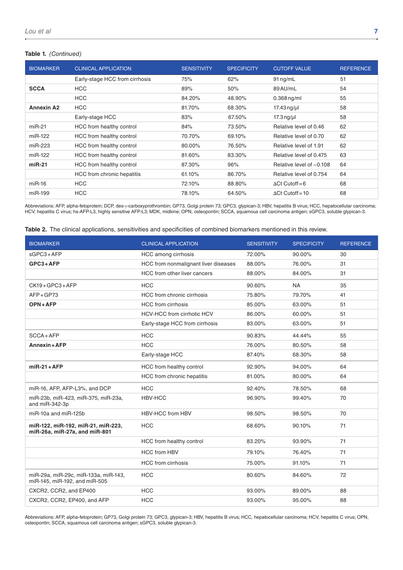#### **Table 1.** *(Continued)*

| <b>BIOMARKER</b>  | <b>CLINICAL APPLICATION</b>    | <b>SENSITIVITY</b> | <b>SPECIFICITY</b> | <b>CUTOFF VALUE</b>      | <b>REFERENCE</b> |
|-------------------|--------------------------------|--------------------|--------------------|--------------------------|------------------|
|                   | Early-stage HCC from cirrhosis | 75%                | 62%                | $91$ ng/mL               | 51               |
| <b>SCCA</b>       | <b>HCC</b>                     | 89%                | 50%                | 89 AU/mL                 | 54               |
|                   | <b>HCC</b>                     | 84.20%             | 48.90%             | $0.368$ ng/ml            | 55               |
| <b>Annexin A2</b> | <b>HCC</b>                     | 81.70%             | 68.30%             | $17.43$ ng/µl            | 58               |
|                   | Early-stage HCC                | 83%                | 67.50%             | $17.3$ ng/µl             | 58               |
| $miR-21$          | HCC from healthy control       | 84%                | 73.50%             | Relative level of 0.46   | 62               |
| miR-122           | HCC from healthy control       | 70.70%             | 69.10%             | Relative level of 0.70   | 62               |
| miR-223           | HCC from healthy control       | 80.00%             | 76.50%             | Relative level of 1.91   | 62               |
| miR-122           | HCC from healthy control       | 81.60%             | 83.30%             | Relative level of 0.475  | 63               |
| $miR-21$          | HCC from healthy control       | 87.30%             | 96%                | Relative level of -0.108 | 64               |
|                   | HCC from chronic hepatitis     | 61.10%             | 86.70%             | Relative level of 0.754  | 64               |
| $miR-16$          | <b>HCC</b>                     | 72.10%             | 88.80%             | $\Delta$ Ct Cutoff=6     | 68               |
| miR-199           | <b>HCC</b>                     | 78.10%             | 64.50%             | $\Delta$ Ct Cutoff=10    | 68               |

Abbreviations: AFP, alpha-fetoprotein; DCP, des-γ-carboxyprothrombin; GP73, Golgi protein 73; GPC3, glypican-3; HBV, hepatitis B virus; HCC, hepatocellular carcinoma; HCV, hepatitis C virus; hs-AFP-L3, highly sensitive AFP-L3; MDK, midkine; OPN, osteopontin; SCCA, squamous cell carcinoma antigen; sGPC3, soluble glypican-3.

|  |  | Table 2. The clinical applications, sensitivities and specificities of combined biomarkers mentioned in this review. |  |  |  |  |  |
|--|--|----------------------------------------------------------------------------------------------------------------------|--|--|--|--|--|
|--|--|----------------------------------------------------------------------------------------------------------------------|--|--|--|--|--|

| <b>BIOMARKER</b>                                                      | <b>CLINICAL APPLICATION</b>          | <b>SENSITIVITY</b> | <b>SPECIFICITY</b> | <b>REFERENCE</b> |
|-----------------------------------------------------------------------|--------------------------------------|--------------------|--------------------|------------------|
| $sGPC3+AFP$                                                           | HCC among cirrhosis                  | 72.00%             | 90.00%             | 30               |
| $GPC3+AFP$                                                            | HCC from nonmalignant liver diseases | 88.00%             | 76.00%             | 31               |
|                                                                       | HCC from other liver cancers         | 88.00%             | 84.00%             | 31               |
| CK19+GPC3+AFP                                                         | <b>HCC</b>                           | 90.60%             | <b>NA</b>          | 35               |
| $AFP+GP73$                                                            | HCC from chronic cirrhosis           | 75.80%             | 79.70%             | 41               |
| OPN+AFP                                                               | <b>HCC</b> from cirrhosis            | 85.00%             |                    | 51               |
|                                                                       | HCV-HCC from cirrhotic HCV           | 86.00%             | 60.00%             | 51               |
|                                                                       | Early-stage HCC from cirrhosis       | 83.00%             | 63.00%             | 51               |
| $SCCA+AFP$                                                            | <b>HCC</b>                           | 90.83%             | 44.44%             | 55               |
| Annexin + AFP                                                         | <b>HCC</b>                           | 76.00%             | 80.50%             | 58               |
|                                                                       | Early-stage HCC                      | 87.40%             | 68.30%             | 58               |
| $miR-21+AFP$                                                          | HCC from healthy control             | 92.90%             | 94.00%             | 64               |
|                                                                       | HCC from chronic hepatitis           | 81.00%             | 80.00%             | 64               |
| miR-16, AFP, AFP-L3%, and DCP                                         | <b>HCC</b>                           | 92.40%             | 78.50%             | 68               |
| miR-23b, miR-423, miR-375, miR-23a,<br>and miR-342-3p                 | HBV-HCC                              | 96.90%             | 99.40%             | 70               |
| $miR-10a$ and $miR-125b$                                              | <b>HBV-HCC from HBV</b>              | 98.50%             | 98.50%             | 70               |
| miR-122, miR-192, miR-21, miR-223,<br>miR-26a, miR-27a, and miR-801   | <b>HCC</b>                           | 68.60%             | 90.10%             | 71               |
|                                                                       | HCC from healthy control             | 83.20%             | 93.90%             | 71               |
|                                                                       | <b>HCC from HBV</b>                  | 79.10%             | 76.40%             | 71               |
|                                                                       | <b>HCC</b> from cirrhosis            | 75.00%             | 91.10%             | 71               |
| miR-29a, miR-29c, miR-133a, miR-143,<br>miR-145, miR-192, and miR-505 | <b>HCC</b>                           | 80.60%             | 84.60%             | 72               |
| CXCR2, CCR2, and EP400                                                | <b>HCC</b>                           | 93.00%             | 89.00%             | 88               |
| CXCR2, CCR2, EP400, and AFP                                           | <b>HCC</b>                           | 93.00%             | 95.00%             | 88               |

Abbreviations: AFP, alpha-fetoprotein; GP73, Golgi protein 73; GPC3, glypican-3; HBV, hepatitis B virus; HCC, hepatocellular carcinoma; HCV, hepatitis C virus; OPN, osteopontin; SCCA, squamous cell carcinoma antigen; sGPC3, soluble glypican-3.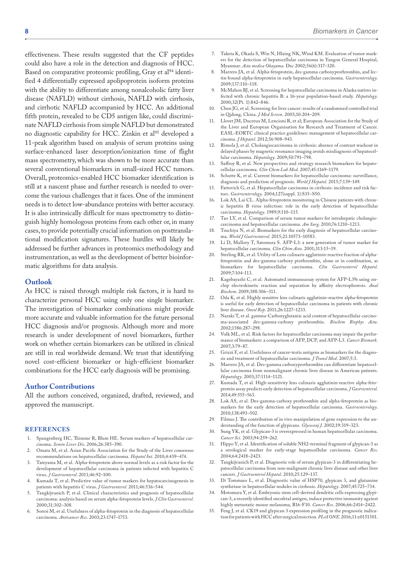effectiveness. These results suggested that the CF peptides could also have a role in the detection and diagnosis of HCC. Based on comparative proteomic profiling, Gray et al<sup>94</sup> identified 4 differentially expressed apolipoprotein isoform proteins with the ability to differentiate among nonalcoholic fatty liver disease (NAFLD) without cirrhosis, NAFLD with cirrhosis, and cirrhotic NAFLD accompanied by HCC. An additional fifth protein, revealed to be CD5 antigen like, could discriminate NAFLD cirrhosis from simple NAFLD but demonstrated no diagnostic capability for HCC. Zinkin et al<sup>95</sup> developed a 11-peak algorithm based on analysis of serum proteins using surface-enhanced laser desorption/ionization time of flight mass spectrometry, which was shown to be more accurate than several conventional biomarkers in small-sized HCC tumors. Overall, proteomics-enabled HCC biomarker identification is still at a nascent phase and further research is needed to overcome the various challenges that it faces. One of the imminent needs is to detect low-abundance proteins with better accuracy. It is also intrinsically difficult for mass spectrometry to distinguish highly homologous proteins from each other or, in many cases, to provide potentially crucial information on posttranslational modification signatures. These hurdles will likely be addressed be further advances in proteomics methodology and instrumentation, as well as the development of better bioinformatic algorithms for data analysis.

#### **Outlook**

As HCC is raised through multiple risk factors, it is hard to characterize personal HCC using only one single biomarker. The investigation of biomarker combinations might provide more accurate and valuable information for the future personal HCC diagnosis and/or prognosis. Although more and more research is under development of novel biomarkers, further work on whether certain biomarkers can be utilized in clinical are still in real worldwide demand. We trust that identifying novel cost-efficient biomarker or high-efficient biomarker combinations for the HCC early diagnosis will be promising.

## **Author Contributions**

All the authors conceived, organized, drafted, reviewed, and approved the manuscript.

#### **References**

- Spangenberg HC, Thimme R, Blum HE. Serum markers of hepatocellular carcinoma. *Semin Liver Dis*. 2006;26:385–390.
- Omata M, et al. Asian Pacific Association for the Study of the Liver consensus recommendations on hepatocellular carcinoma. *Hepatol Int*. 2010;4:439–474.
- 3. Tateyama M, et al. Alpha-fetoprotein above normal levels as a risk factor for the development of hepatocellular carcinoma in patients infected with hepatitis C virus. *J Gastroenterol*. 2011;46:92–100.
- 4. Kumada T, et al. Predictive value of tumor markers for hepatocarcinogenesis in patients with hepatitis C virus. *J Gastroenterol*. 2011;46:536–544.
- 5. Tangkijvanich P, et al. Clinical characteristics and prognosis of hepatocellular carcinoma: analysis based on serum alpha-fetoprotein levels. *J Clin Gastroenterol*. 2000;31:302–308.
- 6. Soresi M, et al. Usefulness of alpha-fetoprotein in the diagnosis of hepatocellular carcinoma. *Anticancer Res*. 2003;23:1747–1753.
- 7. Taketa K, Okada S, Win N, Hlaing NK, Wind KM. Evaluation of tumor markers for the detection of hepatocellular carcinoma in Yangon General Hospital, Myanmar. *Acta medica Okayama*. Dec 2002;56(6):317–320.
- 8. Marrero JA, et al. Alpha-fetoprotein, des-gamma carboxyprothrombin, and lectin-bound alpha-fetoprotein in early hepatocellular carcinoma. *Gastroenterology*. 2009;137:110–118.
- 9. McMahon BJ, et al. Screening for hepatocellular carcinoma in Alaska natives infected with chronic hepatitis B: a 16-year population-based study. *Hepatology*. 2000;32(Pt. 1):842–846.
- 10. Chen JG, et al. Screening for liver cancer: results of a randomised controlled trial in Qidong, China. *J Med Screen*. 2003;10:204–209.
- 11. Llovet JM, Ducreux M, Lencioni R, et al; European Association for the Study of the Liver and European Organisation for Research and Treatment of Cancer. EASL-EORTC clinical practice guidelines: management of hepatocellular carcinoma. *J Hepatol*. 2012;56:908–943.
- 12. Rimola J, et al. Cholangiocarcinoma in cirrhosis: absence of contrast washout in delayed phases by magnetic resonance imaging avoids misdiagnosis of hepatocellular carcinoma. *Hepatology*. 2009;50:791–798.
- Saffroy R, et al. New perspectives and strategy research biomarkers for hepatocellular carcinoma. *Clin Chem Lab Med*. 2007;45:1169–1179.
- 14. Schutte K, et al. Current biomarkers for hepatocellular carcinoma: surveillance, diagnosis and prediction of prognosis. *World J Hepatol*. 2015;7:139–149.
- 15. Fattovich G, et al. Hepatocellular carcinoma in cirrhosis: incidence and risk factors. *Gastroenterology*. 2004;127(suppl. 1):S35–S50.
- 16. Lok AS, Lai CL. Alpha-fetoprotein monitoring in Chinese patients with chronic hepatitis B virus infection: role in the early detection of hepatocellular carcinoma. *Hepatology*. 1989;9:110–115.
- 17. Tao LY, et al. Comparison of serum tumor markers for intrahepatic cholangiocarcinoma and hepatocellular carcinoma. *Am Surg*. 2010;76:1210–1213.
- 18. Tsuchiya N, et al. Biomarkers for the early diagnosis of hepatocellular carcinoma. *World J Gastroenterol*. 2015;21:10573–10583.
- 19. Li D, Mallory T, Satomura S. AFP-L3: a new generation of tumor marker for hepatocellular carcinoma. *Clin Chim Acta*. 2001;313:15–19.
- 20. Sterling RK, et al. Utility of Lens culinaris agglutinin-reactive fraction of alphafetoprotein and des-gamma-carboxy prothrombin, alone or in combination, as biomarkers for hepatocellular carcinoma. *Clin Gastroenterol Hepatol*. 2009;7:104-113.
- 21. Kagebayashi C, et al. Automated immunoassay system for AFP-L3% using onchip electrokinetic reaction and separation by affinity electrophoresis. *Anal Biochem*. 2009;388:306–311.
- 22. Oda K, et al. Highly sensitive lens culinaris agglutinin-reactive alpha-fetoprotein is useful for early detection of hepatocellular carcinoma in patients with chronic liver disease. *Oncol Rep*. 2011;26:1227–1233.
- 23. Naraki T, et al. gamma-Carboxyglutamic acid content of hepatocellular carcinoma-associated des-gamma-carboxy prothrombin. *Biochim Biophys Acta*. 2002;1586:287–298.
- 24. Volk ML, et al. Risk factors for hepatocellular carcinoma may impair the performance of biomarkers: a comparison of AFP, DCP, and AFP-L3. *Cancer Biomark*. 2007;3:79–87.
- Grizzi F, et al. Usefulness of cancer-testis antigens as biomarkers for the diagnosis and treatment of hepatocellular carcinoma. *J Transl Med*. 2007;5:3.
- Marrero JA, et al. Des-gamma carboxyprothrombin can differentiate hepatocellular carcinoma from nonmalignant chronic liver disease in American patients. *Hepatology*. 2003;37:1114–1121.
- 27. Kumada T, et al. High-sensitivity lens culinaris agglutinin-reactive alpha-fetoprotein assay predicts early detection of hepatocellular carcinoma. *J Gastroenterol*. 2014;49:555–563.
- 28. Lok AS, et al. Des-gamma-carboxy prothrombin and alpha-fetoprotein as biomarkers for the early detection of hepatocellular carcinoma. *Gastroenterology*. 2010;138:493–502.
- 29. Filmus J. The contribution of in vivo manipulation of gene expression to the understanding of the function of glypicans. *Glycoconj J*. 2002;19:319–323.
- 30. Sung YK, et al. Glypican-3 is overexpressed in human hepatocellular carcinoma. *Cancer Sci*. 2003;94:259–262.
- 31. Hippo Y, et al. Identification of soluble NH2-terminal fragment of glypican-3 as a serological marker for early-stage hepatocellular carcinoma. *Cancer Res*. 2004;64:2418–2423.
- 32. Tangkijvanich P, et al. Diagnostic role of serum glypican-3 in differentiating hepatocellular carcinoma from non-malignant chronic liver disease and other liver cancers. *J Gastroenterol Hepatol*. 2010;25:129–137.
- Di Tommaso L, et al. Diagnostic value of HSP70, glypican 3, and glutamine synthetase in hepatocellular nodules in cirrhosis. *Hepatology*. 2007;45:725–734.
- 34. Motomura Y, et al. Embryonic stem cell-derived dendritic cells expressing glypican-3, a recently identified oncofetal antigen, induce protective immunity against highly metastatic mouse melanoma, B16-F10. *Cancer Res*. 2006;66:2414–2422.
- Feng J, et al. CK19 and glypican 3 expression profiling in the prognostic indication for patients with HCC after surgical resection. *PLoS ONE*. 2016;11:e0151501.